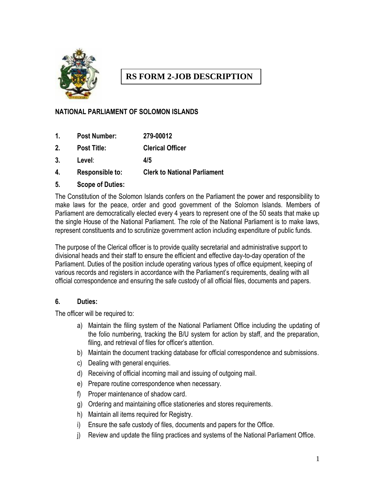

# **RS FORM 2-JOB DESCRIPTION**

## **NATIONAL PARLIAMENT OF SOLOMON ISLANDS**

- **1. Post Number: 279-00012**
- **2. Post Title: Clerical Officer**
- **3. Level**: **4/5**
- **4. Responsible to: Clerk to National Parliament**
- **5. Scope of Duties:**

The Constitution of the Solomon Islands confers on the Parliament the power and responsibility to make laws for the peace, order and good government of the Solomon Islands. Members of Parliament are democratically elected every 4 years to represent one of the 50 seats that make up the single House of the National Parliament. The role of the National Parliament is to make laws, represent constituents and to scrutinize government action including expenditure of public funds.

The purpose of the Clerical officer is to provide quality secretarial and administrative support to divisional heads and their staff to ensure the efficient and effective day-to-day operation of the Parliament. Duties of the position include operating various types of office equipment, keeping of various records and registers in accordance with the Parliament's requirements, dealing with all official correspondence and ensuring the safe custody of all official files, documents and papers.

#### **6. Duties:**

The officer will be required to:

- a) Maintain the filing system of the National Parliament Office including the updating of the folio numbering, tracking the B/U system for action by staff, and the preparation, filing, and retrieval of files for officer's attention.
- b) Maintain the document tracking database for official correspondence and submissions.
- c) Dealing with general enquiries.
- d) Receiving of official incoming mail and issuing of outgoing mail.
- e) Prepare routine correspondence when necessary.
- f) Proper maintenance of shadow card.
- g) Ordering and maintaining office stationeries and stores requirements.
- h) Maintain all items required for Registry.
- i) Ensure the safe custody of files, documents and papers for the Office.
- j) Review and update the filing practices and systems of the National Parliament Office.